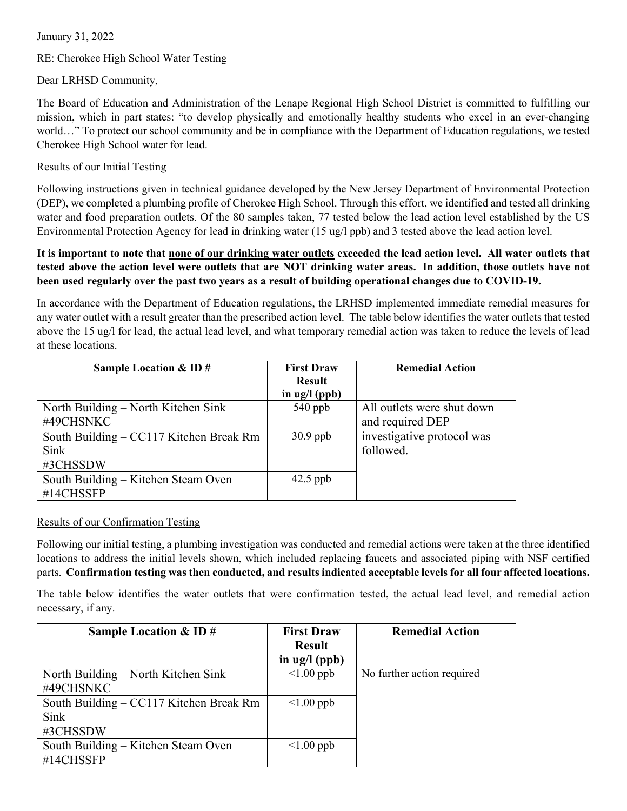## January 31, 2022

# RE: Cherokee High School Water Testing

## Dear LRHSD Community,

The Board of Education and Administration of the Lenape Regional High School District is committed to fulfilling our mission, which in part states: "to develop physically and emotionally healthy students who excel in an ever-changing world…" To protect our school community and be in compliance with the Department of Education regulations, we tested Cherokee High School water for lead.

## Results of our Initial Testing

Following instructions given in technical guidance developed by the New Jersey Department of Environmental Protection (DEP), we completed a plumbing profile of Cherokee High School. Through this effort, we identified and tested all drinking water and food preparation outlets. Of the 80 samples taken, 77 tested below the lead action level established by the US Environmental Protection Agency for lead in drinking water (15 ug/l ppb) and 3 tested above the lead action level.

## **It is important to note that none of our drinking water outlets exceeded the lead action level. All water outlets that tested above the action level were outlets that are NOT drinking water areas. In addition, those outlets have not been used regularly over the past two years as a result of building operational changes due to COVID-19.**

In accordance with the Department of Education regulations, the LRHSD implemented immediate remedial measures for any water outlet with a result greater than the prescribed action level. The table below identifies the water outlets that tested above the 15 ug/l for lead, the actual lead level, and what temporary remedial action was taken to reduce the levels of lead at these locations.

| Sample Location $&$ ID $#$              | <b>First Draw</b>      | <b>Remedial Action</b>     |
|-----------------------------------------|------------------------|----------------------------|
|                                         | <b>Result</b>          |                            |
|                                         | in $\frac{u}{2}$ (ppb) |                            |
| North Building – North Kitchen Sink     | $540$ ppb              | All outlets were shut down |
| #49CHSNKC                               |                        | and required DEP           |
| South Building – CC117 Kitchen Break Rm | $30.9$ ppb             | investigative protocol was |
| Sink                                    |                        | followed.                  |
| #3CHSSDW                                |                        |                            |
| South Building – Kitchen Steam Oven     | $42.5$ ppb             |                            |
| #14CHSSFP                               |                        |                            |

## Results of our Confirmation Testing

Following our initial testing, a plumbing investigation was conducted and remedial actions were taken at the three identified locations to address the initial levels shown, which included replacing faucets and associated piping with NSF certified parts. **Confirmation testing was then conducted, and results indicated acceptable levels for all four affected locations.**

The table below identifies the water outlets that were confirmation tested, the actual lead level, and remedial action necessary, if any.

| Sample Location & ID $#$                | <b>First Draw</b>             | <b>Remedial Action</b>     |
|-----------------------------------------|-------------------------------|----------------------------|
|                                         | <b>Result</b>                 |                            |
|                                         | in $\text{ug}/\text{l}$ (ppb) |                            |
| North Building – North Kitchen Sink     | $\leq 1.00$ ppb               | No further action required |
| #49CHSNKC                               |                               |                            |
| South Building – CC117 Kitchen Break Rm | $\leq 1.00$ ppb               |                            |
| Sink                                    |                               |                            |
| #3CHSSDW                                |                               |                            |
| South Building – Kitchen Steam Oven     | $\leq 1.00$ ppb               |                            |
| #14CHSSFP                               |                               |                            |